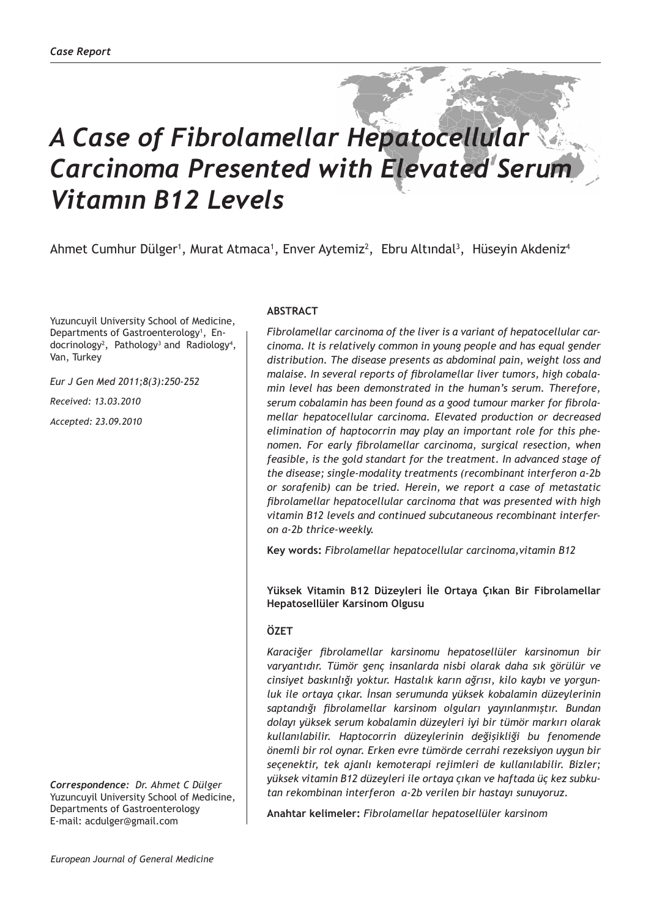# *A Case of Fibrolamellar Hepatocellular Carcinoma Presented with Elevated Serum Vitamın B12 Levels*

Ahmet Cumhur Dülger<sup>1</sup>, Murat Atmaca<sup>1</sup>, Enver Aytemiz<sup>2</sup>, Ebru Altındal<sup>3</sup>, Hüseyin Akdeniz<sup>4</sup>

Yuzuncuyil University School of Medicine, Departments of Gastroenterology<sup>1</sup>, Endocrinology<sup>2</sup>, Pathology<sup>3</sup> and Radiology<sup>4</sup>, Van, Turkey

*Eur J Gen Med 2011;8(3):250-252*

*Received: 13.03.2010*

*Accepted: 23.09.2010*

*Correspondence: Dr. Ahmet C Dülger* Yuzuncuyil University School of Medicine, Departments of Gastroenterology E-mail: acdulger@gmail.com

## **ABSTRACT**

*Fibrolamellar carcinoma of the liver is a variant of hepatocellular carcinoma. It is relatively common in young people and has equal gender distribution. The disease presents as abdominal pain, weight loss and malaise. In several reports of fibrolamellar liver tumors, high cobalamin level has been demonstrated in the human's serum. Therefore, serum cobalamin has been found as a good tumour marker for fibrolamellar hepatocellular carcinoma. Elevated production or decreased elimination of haptocorrin may play an important role for this phenomen. For early fibrolamellar carcinoma, surgical resection, when feasible, is the gold standart for the treatment. In advanced stage of the disease; single-modality treatments (recombinant interferon α-2b or sorafenib) can be tried. Herein, we report a case of metastatic fibrolamellar hepatocellular carcinoma that was presented with high vitamin B12 levels and continued subcutaneous recombinant interferon α-2b thrice-weekly.*

**Key words:** *Fibrolamellar hepatocellular carcinoma,vitamin B12*

**Yüksek Vitamin B12 Düzeyleri İle Ortaya Çıkan Bir Fibrolamellar Hepatosellüler Karsinom Olgusu**

# **ÖZET**

*Karaciğer fibrolamellar karsinomu hepatosellüler karsinomun bir varyantıdır. Tümör genç insanlarda nisbi olarak daha sık görülür ve cinsiyet baskınlığı yoktur. Hastalık karın ağrısı, kilo kaybı ve yorgunluk ile ortaya çıkar. İnsan serumunda yüksek kobalamin düzeylerinin saptandığı fibrolamellar karsinom olguları yayınlanmıştır. Bundan dolayı yüksek serum kobalamin düzeyleri iyi bir tümör markırı olarak kullanılabilir. Haptocorrin düzeylerinin değişikliği bu fenomende önemli bir rol oynar. Erken evre tümörde cerrahi rezeksiyon uygun bir seçenektir, tek ajanlı kemoterapi rejimleri de kullanılabilir. Bizler; yüksek vitamin B12 düzeyleri ile ortaya çıkan ve haftada üç kez subkutan rekombinan interferon α-2b verilen bir hastayı sunuyoruz.*

**Anahtar kelimeler:** *Fibrolamellar hepatosellüler karsinom*